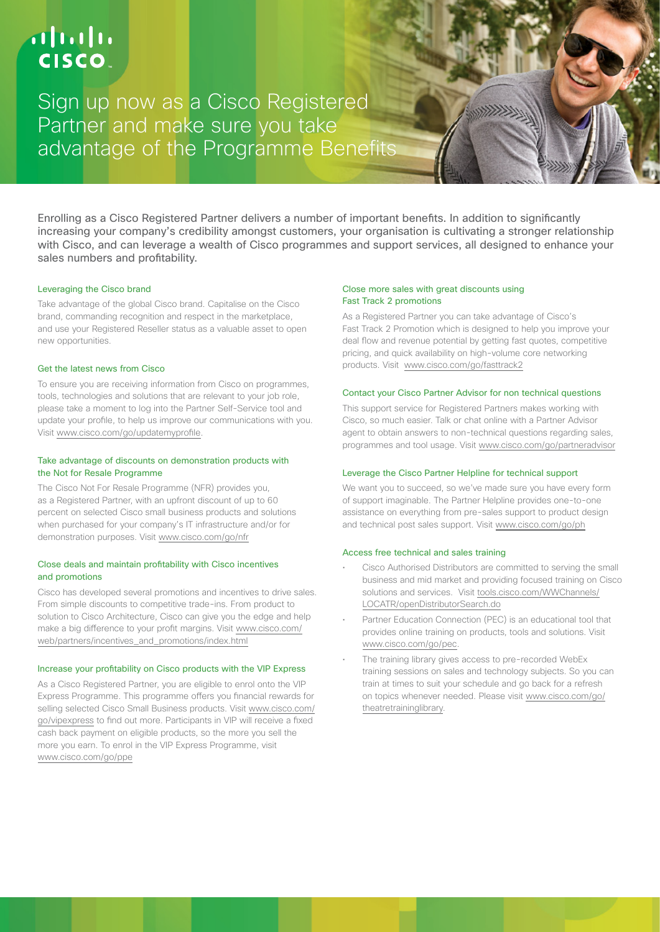# $\mathbf{d}$  and  $\mathbf{d}$ **CISCO**

Sign up now as a Cisco Registered Partner and make sure you take advantage of the Programme Benefits

Enrolling as a Cisco Registered Partner delivers a number of important benefits. In addition to significantly increasing your company's credibility amongst customers, your organisation is cultivating a stronger relationship with Cisco, and can leverage a wealth of Cisco programmes and support services, all designed to enhance your sales numbers and profitability.

## Leveraging the Cisco brand

Take advantage of the global Cisco brand. Capitalise on the Cisco brand, commanding recognition and respect in the marketplace, and use your Registered Reseller status as a valuable asset to open new opportunities.

## Get the latest news from Cisco

To ensure you are receiving information from Cisco on programmes, tools, technologies and solutions that are relevant to your job role, please take a moment to log into the Partner Self-Service tool and update your profile, to help us improve our communications with you. Visit [www.cisco.com/go/updatemyprofile](http://www.cisco.com/go/updatemyprofile.).

# Take advantage of discounts on demonstration products with the Not for Resale Programme

The Cisco Not For Resale Programme (NFR) provides you, as a Registered Partner, with an upfront discount of up to 60 percent on selected Cisco small business products and solutions when purchased for your company's IT infrastructure and/or for demonstration purposes. Visit [www.cisco.com/go/nfr](http://www.cisco.com/go/nfr)

# Close deals and maintain profitability with Cisco incentives and promotions

Cisco has developed several promotions and incentives to drive sales. From simple discounts to competitive trade-ins. From product to solution to Cisco Architecture, Cisco can give you the edge and help make a big difference to your profit margins. Visit [www.cisco.com/](http://www.cisco.com/web/partners/incentives_and_promotions/index.html) [web/partners/incentives\\_and\\_promotions/index.html](http://www.cisco.com/web/partners/incentives_and_promotions/index.html)

#### Increase your profitability on Cisco products with the VIP Express

As a Cisco Registered Partner, you are eligible to enrol onto the VIP Express Programme. This programme offers you financial rewards for selling selected Cisco Small Business products. Visit [www.cisco.com/](http://www.cisco.com/go/vipexpress) [go/vipexpress](http://www.cisco.com/go/vipexpress) to find out more. Participants in VIP will receive a fixed cash back payment on eligible products, so the more you sell the more you earn. To enrol in the VIP Express Programme, visit [www.cisco.com/go/ppe](http://www.cisco.com/go/ppe)

## Close more sales with great discounts using Fast Track 2 promotions

As a Registered Partner you can take advantage of Cisco's Fast Track 2 Promotion which is designed to help you improve your deal flow and revenue potential by getting fast quotes, competitive pricing, and quick availability on high-volume core networking products. Visit [www.cisco.com/go/fasttrack2](http://www.cisco.com/go/fasttrack2)

### Contact your Cisco Partner Advisor for non technical questions

This support service for Registered Partners makes working with Cisco, so much easier. Talk or chat online with a Partner Advisor agent to obtain answers to non-technical questions regarding sales, programmes and tool usage. Visit [www.cisco.com/go/partneradvisor](http://www.cisco.com/go/partneradvisor)

# Leverage the Cisco Partner Helpline for technical support

We want you to succeed, so we've made sure you have every form of support imaginable. The Partner Helpline provides one-to-one assistance on everything from pre-sales support to product design and technical post sales support. Visit [www.cisco.com/go/ph](http://www.cisco.com/go/ph)

#### Access free technical and sales training

- Cisco Authorised Distributors are committed to serving the small business and mid market and providing focused training on Cisco solutions and services. Visit [tools.cisco.com/WWChannels/](http:////tools.cisco.com/WWChannels/LOCATR/openDistributorSearch.do) [LOCATR/openDistributorSearch.do](http:////tools.cisco.com/WWChannels/LOCATR/openDistributorSearch.do)
- Partner Education Connection (PEC) is an educational tool that provides online training on products, tools and solutions. Visit [www.cisco.com/go/pec](http://www.cisco.com/go/pec).
- The training library gives access to pre-recorded WebEx training sessions on sales and technology subjects. So you can train at times to suit your schedule and go back for a refresh on topics whenever needed. Please visit [www.cisco.com/go/](http://www.cisco.com/go/theatretraininglibrary) [theatretraininglibrary.](http://www.cisco.com/go/theatretraininglibrary)